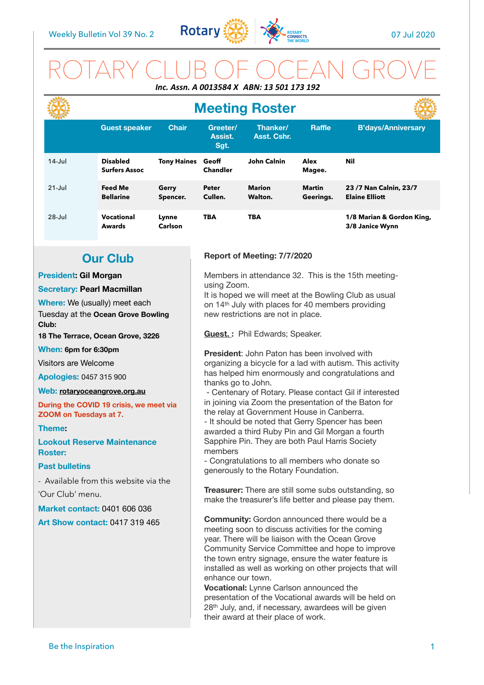

# ROTARY CLUB OF OCEAN GROVE *Inc. Assn. A 0013584 X ABN: 13 501 173 192*

|            | <b>Meeting Roster</b>                   |                    |                             |                          |                            |                                                |
|------------|-----------------------------------------|--------------------|-----------------------------|--------------------------|----------------------------|------------------------------------------------|
|            | <b>Guest speaker</b>                    | Chair              | Greeter/<br>Assist.<br>Sgt. | Thanker/<br>Asst. Cshr.  | <b>Raffle</b>              | <b>B'days/Anniversary</b>                      |
| $14$ -Jul  | <b>Disabled</b><br><b>Surfers Assoc</b> | <b>Tony Haines</b> | Geoff<br><b>Chandler</b>    | <b>John Calnin</b>       | Alex<br>Magee.             | Nil                                            |
| $21 -$ Jul | <b>Feed Me</b><br><b>Bellarine</b>      | Gerry<br>Spencer.  | <b>Peter</b><br>Cullen.     | <b>Marion</b><br>Walton. | <b>Martin</b><br>Geerings. | 23/7 Nan Calnin, 23/7<br><b>Elaine Elliott</b> |
| $28 -$ Jul | <b>Vocational</b><br><b>Awards</b>      | Lynne<br>Carlson   | <b>TBA</b>                  | <b>TBA</b>               |                            | 1/8 Marian & Gordon King,<br>3/8 Janice Wynn   |

## **Our Club**

### **President: Gil Morgan**

#### **Secretary: Pearl Macmillan**

**Where:** We (usually) meet each Tuesday at the **Ocean Grove Bowling Club:** 

**18 The Terrace, Ocean Grove, 3226** 

**When: 6pm for 6:30pm** 

Visitors are Welcome

**Apologies:** 0457 315 900

#### **Web: [rotaryoceangrove.org.au](http://rotaryoceangrove.org.au)**

**During the COVID 19 crisis, we meet via ZOOM on Tuesdays at 7.**

### **Theme:**

**Lookout Reserve Maintenance Roster:** 

#### **Past bulletins**

- Available from this website via the 'Our Club' menu.

**Market contact:** 0401 606 036 **Art Show contact:** 0417 319 465

### **Report of Meeting: 7/7/2020**

Members in attendance 32. This is the 15th meetingusing Zoom.

It is hoped we will meet at the Bowling Club as usual on 14th July with places for 40 members providing new restrictions are not in place.

**Guest. :** Phil Edwards; Speaker.

**President**: John Paton has been involved with organizing a bicycle for a lad with autism. This activity has helped him enormously and congratulations and thanks go to John.

 - Centenary of Rotary. Please contact Gil if interested in joining via Zoom the presentation of the Baton for the relay at Government House in Canberra.

- It should be noted that Gerry Spencer has been awarded a third Ruby Pin and Gil Morgan a fourth Sapphire Pin. They are both Paul Harris Society members

- Congratulations to all members who donate so generously to the Rotary Foundation.

**Treasurer:** There are still some subs outstanding, so make the treasurer's life better and please pay them.

**Community:** Gordon announced there would be a meeting soon to discuss activities for the coming year. There will be liaison with the Ocean Grove Community Service Committee and hope to improve the town entry signage, ensure the water feature is installed as well as working on other projects that will enhance our town.

**Vocational:** Lynne Carlson announced the presentation of the Vocational awards will be held on 28th July, and, if necessary, awardees will be given their award at their place of work.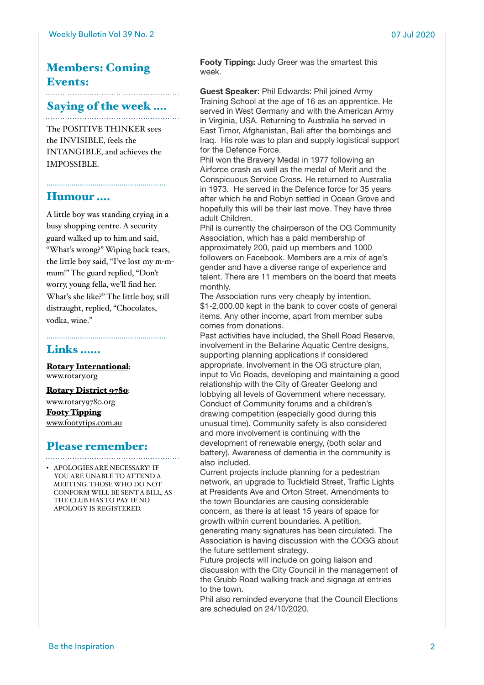# Members: Coming Events:

## Saying of the week ….

The POSITIVE THINKER sees the INVISIBLE, feels the INTANGIBLE, and achieves the IMPOSSIBLE.

…………………………………………………

## Humour ….

A little boy was standing crying in a busy shopping centre. A security guard walked up to him and said, "What's wrong?" Wiping back tears, the little boy said, "I've lost my m-mmum!" The guard replied, "Don't worry, young fella, we'll find her. What's she like?" The little boy, still distraught, replied, "Chocolates, vodka, wine."

## Links ……

[Rotary International](https://www.rotary.org): [www.rotary.org](http://www.rotary.org)

[Rotary District 9780](http://rotary9780.org):

[www.rotary9780.org](http://www.rotary9780.org) [Footy Tipping](http://www.footytips.com.au) [www.footytips.com.au](http://www.footytips.com.au)

## Please remember:

• APOLOGIES ARE NECESSARY! IF YOU ARE UNABLE TO ATTEND A MEETING. THOSE WHO DO NOT CONFORM WILL BE SENT A BILL, AS THE CLUB HAS TO PAY IF NO APOLOGY IS REGISTERED.

**Footy Tipping:** Judy Greer was the smartest this week.

**Guest Speaker**: Phil Edwards: Phil joined Army Training School at the age of 16 as an apprentice. He served in West Germany and with the American Army in Virginia, USA. Returning to Australia he served in East Timor, Afghanistan, Bali after the bombings and Iraq. His role was to plan and supply logistical support for the Defence Force.

Phil won the Bravery Medal in 1977 following an Airforce crash as well as the medal of Merit and the Conspicuous Service Cross. He returned to Australia in 1973. He served in the Defence force for 35 years after which he and Robyn settled in Ocean Grove and hopefully this will be their last move. They have three adult Children.

Phil is currently the chairperson of the OG Community Association, which has a paid membership of approximately 200, paid up members and 1000 followers on Facebook. Members are a mix of age's gender and have a diverse range of experience and talent. There are 11 members on the board that meets monthly.

The Association runs very cheaply by intention. \$1-2,000.00 kept in the bank to cover costs of general items. Any other income, apart from member subs comes from donations.

Past activities have included, the Shell Road Reserve, involvement in the Bellarine Aquatic Centre designs, supporting planning applications if considered appropriate. Involvement in the OG structure plan, input to Vic Roads, developing and maintaining a good relationship with the City of Greater Geelong and lobbying all levels of Government where necessary. Conduct of Community forums and a children's drawing competition (especially good during this unusual time). Community safety is also considered and more involvement is continuing with the development of renewable energy, (both solar and battery). Awareness of dementia in the community is also included.

Current projects include planning for a pedestrian network, an upgrade to Tuckfield Street, Traffic Lights at Presidents Ave and Orton Street. Amendments to the town Boundaries are causing considerable concern, as there is at least 15 years of space for growth within current boundaries. A petition, generating many signatures has been circulated. The Association is having discussion with the COGG about the future settlement strategy.

Future projects will include on going liaison and discussion with the City Council in the management of the Grubb Road walking track and signage at entries to the town.

Phil also reminded everyone that the Council Elections are scheduled on 24/10/2020.